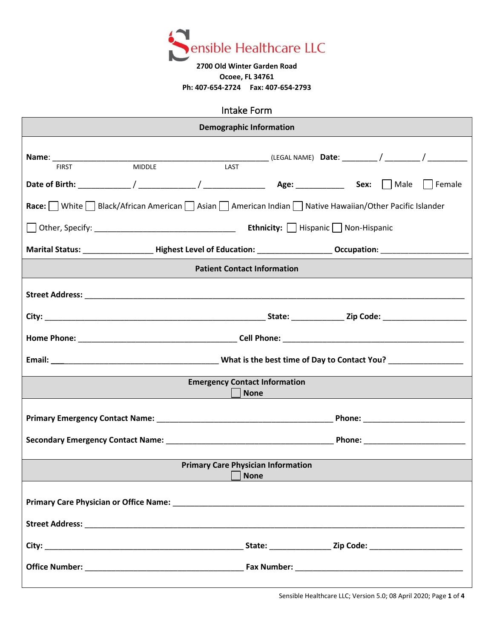

## **2700 Old Winter Garden Road Ocoee, FL 34761 Ph: 407-654-2724 Fax: 407-654-2793**

| Intake Form                                                                                           |                            |  |  |  |  |
|-------------------------------------------------------------------------------------------------------|----------------------------|--|--|--|--|
| <b>Demographic Information</b>                                                                        |                            |  |  |  |  |
| <b>MIDDLE</b><br>LAST<br><b>FIRST</b>                                                                 |                            |  |  |  |  |
|                                                                                                       |                            |  |  |  |  |
| Race: White Black/African American Asian Asian American Indian Mative Hawaiian/Other Pacific Islander |                            |  |  |  |  |
|                                                                                                       |                            |  |  |  |  |
|                                                                                                       |                            |  |  |  |  |
| <b>Patient Contact Information</b>                                                                    |                            |  |  |  |  |
|                                                                                                       |                            |  |  |  |  |
|                                                                                                       |                            |  |  |  |  |
|                                                                                                       |                            |  |  |  |  |
|                                                                                                       |                            |  |  |  |  |
| <b>Emergency Contact Information</b><br><b>None</b>                                                   |                            |  |  |  |  |
|                                                                                                       |                            |  |  |  |  |
|                                                                                                       |                            |  |  |  |  |
| <b>Primary Care Physician Information</b><br><b>None</b>                                              |                            |  |  |  |  |
|                                                                                                       |                            |  |  |  |  |
|                                                                                                       |                            |  |  |  |  |
|                                                                                                       | State: Zip Code: Zip Code: |  |  |  |  |
|                                                                                                       |                            |  |  |  |  |

Sensible Healthcare LLC; Version 5.0; 08 April 2020; Page **1** of **4**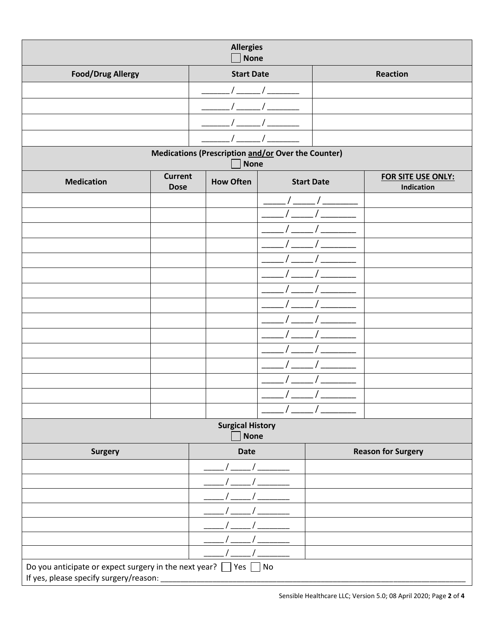| <b>Allergies</b><br><b>None</b>                                        |                               |                   |  |                   |                                         |
|------------------------------------------------------------------------|-------------------------------|-------------------|--|-------------------|-----------------------------------------|
| <b>Food/Drug Allergy</b>                                               |                               | <b>Start Date</b> |  | Reaction          |                                         |
|                                                                        |                               |                   |  |                   |                                         |
|                                                                        |                               |                   |  |                   |                                         |
|                                                                        |                               |                   |  |                   |                                         |
|                                                                        |                               |                   |  |                   |                                         |
| Medications (Prescription and/or Over the Counter)<br><b>None</b>      |                               |                   |  |                   |                                         |
| <b>Medication</b>                                                      | <b>Current</b><br><b>Dose</b> | <b>How Often</b>  |  | <b>Start Date</b> | FOR SITE USE ONLY:<br><b>Indication</b> |
|                                                                        |                               |                   |  |                   |                                         |
|                                                                        |                               |                   |  |                   |                                         |
|                                                                        |                               |                   |  |                   |                                         |
|                                                                        |                               |                   |  |                   |                                         |
|                                                                        |                               |                   |  |                   |                                         |
|                                                                        |                               |                   |  |                   |                                         |
|                                                                        |                               |                   |  |                   |                                         |
|                                                                        |                               |                   |  |                   |                                         |
|                                                                        |                               |                   |  |                   |                                         |
|                                                                        |                               |                   |  |                   |                                         |
|                                                                        |                               |                   |  |                   |                                         |
|                                                                        |                               |                   |  |                   |                                         |
|                                                                        |                               |                   |  |                   |                                         |
|                                                                        |                               |                   |  |                   |                                         |
|                                                                        |                               |                   |  |                   |                                         |
| <b>Surgical History</b><br><b>None</b>                                 |                               |                   |  |                   |                                         |
| Surgery                                                                |                               | <b>Date</b>       |  |                   | <b>Reason for Surgery</b>               |
|                                                                        |                               |                   |  |                   |                                         |
|                                                                        |                               |                   |  |                   |                                         |
|                                                                        |                               |                   |  |                   |                                         |
|                                                                        |                               |                   |  |                   |                                         |
|                                                                        |                               |                   |  |                   |                                         |
|                                                                        |                               |                   |  |                   |                                         |
|                                                                        |                               |                   |  |                   |                                         |
| Do you anticipate or expect surgery in the next year? $\Box$ Yes<br>No |                               |                   |  |                   |                                         |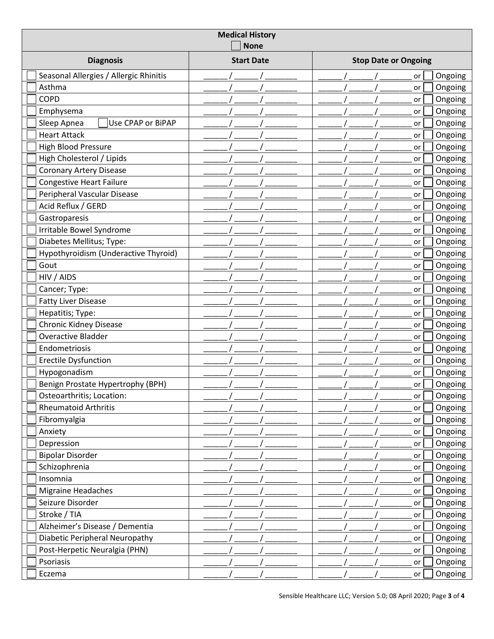| <b>Medical History</b><br><b>None</b>  |                   |                             |  |  |  |
|----------------------------------------|-------------------|-----------------------------|--|--|--|
| <b>Diagnosis</b>                       | <b>Start Date</b> | <b>Stop Date or Ongoing</b> |  |  |  |
| Seasonal Allergies / Allergic Rhinitis |                   | Ongoing<br>or               |  |  |  |
| Asthma                                 |                   | Ongoing<br>or               |  |  |  |
| COPD                                   |                   | Ongoing<br>or               |  |  |  |
| Emphysema                              |                   | Ongoing<br>or               |  |  |  |
| Sleep Apnea<br>Use CPAP or BiPAP       |                   | Ongoing<br>or               |  |  |  |
| <b>Heart Attack</b>                    |                   | Ongoing<br>or               |  |  |  |
| <b>High Blood Pressure</b>             |                   | Ongoing<br>or               |  |  |  |
| High Cholesterol / Lipids              |                   | Ongoing<br>or               |  |  |  |
| <b>Coronary Artery Disease</b>         |                   | Ongoing<br>or               |  |  |  |
| <b>Congestive Heart Failure</b>        |                   | Ongoing<br>or               |  |  |  |
| Peripheral Vascular Disease            |                   | Ongoing<br>or               |  |  |  |
| Acid Reflux / GERD                     |                   | Ongoing<br>or               |  |  |  |
| Gastroparesis                          |                   | Ongoing<br>or               |  |  |  |
| Irritable Bowel Syndrome               |                   | Ongoing<br>or               |  |  |  |
| Diabetes Mellitus; Type:               |                   | Ongoing<br>or               |  |  |  |
| Hypothyroidism (Underactive Thyroid)   |                   | Ongoing<br>or               |  |  |  |
| Gout                                   |                   | Ongoing<br>or               |  |  |  |
| HIV / AIDS                             |                   | Ongoing<br>or               |  |  |  |
| Cancer; Type:                          |                   | Ongoing<br>or               |  |  |  |
| <b>Fatty Liver Disease</b>             |                   | Ongoing<br>or               |  |  |  |
| Hepatitis; Type:                       |                   | Ongoing<br>or               |  |  |  |
| <b>Chronic Kidney Disease</b>          |                   | Ongoing<br>or               |  |  |  |
| Overactive Bladder                     |                   | Ongoing<br>or               |  |  |  |
| Endometriosis                          |                   | Ongoing<br>or               |  |  |  |
| <b>Erectile Dysfunction</b>            |                   | Ongoing<br>or               |  |  |  |
| Hypogonadism                           |                   | Ongoing<br>or               |  |  |  |
| Benign Prostate Hypertrophy (BPH)      |                   | Ongoing<br>or               |  |  |  |
| Osteoarthritis; Location:              |                   | Ongoing<br>or               |  |  |  |
| <b>Rheumatoid Arthritis</b>            |                   | Ongoing<br>or               |  |  |  |
| Fibromyalgia                           |                   | Ongoing<br>or               |  |  |  |
| Anxiety                                |                   | Ongoing<br>or               |  |  |  |
| Depression                             |                   | Ongoing<br>or               |  |  |  |
| <b>Bipolar Disorder</b>                |                   | Ongoing<br>or               |  |  |  |
| Schizophrenia                          |                   | Ongoing<br>or               |  |  |  |
| Insomnia                               |                   | Ongoing<br>or               |  |  |  |
| Migraine Headaches                     |                   | Ongoing<br>or               |  |  |  |
| Seizure Disorder                       |                   | Ongoing<br>or               |  |  |  |
| Stroke / TIA                           |                   | Ongoing<br>or               |  |  |  |
| Alzheimer's Disease / Dementia         |                   | Ongoing<br>or               |  |  |  |
| Diabetic Peripheral Neuropathy         |                   | Ongoing<br>or               |  |  |  |
| Post-Herpetic Neuralgia (PHN)          |                   | Ongoing<br>or               |  |  |  |
| Psoriasis                              |                   | Ongoing<br>or               |  |  |  |
| Eczema                                 |                   | Ongoing<br>or               |  |  |  |